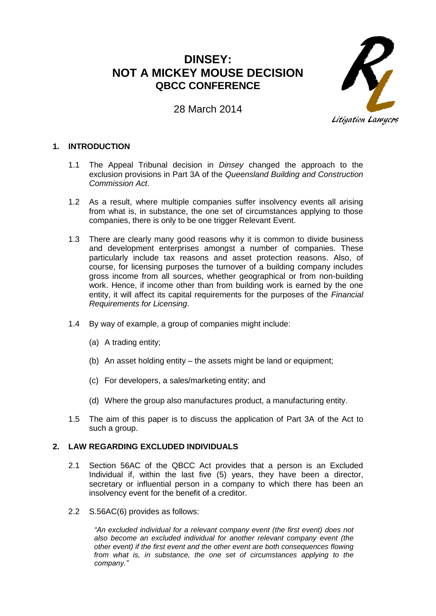# **DINSEY: NOT A MICKEY MOUSE DECISION QBCC CONFERENCE**

Litigation Lawyers

# 28 March 2014

# **1. INTRODUCTION**

- 1.1 The Appeal Tribunal decision in *Dinsey* changed the approach to the exclusion provisions in Part 3A of the *Queensland Building and Construction Commission Act*.
- 1.2 As a result, where multiple companies suffer insolvency events all arising from what is, in substance, the one set of circumstances applying to those companies, there is only to be one trigger Relevant Event.
- 1.3 There are clearly many good reasons why it is common to divide business and development enterprises amongst a number of companies. These particularly include tax reasons and asset protection reasons. Also, of course, for licensing purposes the turnover of a building company includes gross income from all sources, whether geographical or from non-building work. Hence, if income other than from building work is earned by the one entity, it will affect its capital requirements for the purposes of the *Financial Requirements for Licensing*.
- 1.4 By way of example, a group of companies might include:
	- (a) A trading entity;
	- (b) An asset holding entity the assets might be land or equipment;
	- (c) For developers, a sales/marketing entity; and
	- (d) Where the group also manufactures product, a manufacturing entity.
- 1.5 The aim of this paper is to discuss the application of Part 3A of the Act to such a group.

# **2. LAW REGARDING EXCLUDED INDIVIDUALS**

- 2.1 Section 56AC of the QBCC Act provides that a person is an Excluded Individual if, within the last five (5) years, they have been a director, secretary or influential person in a company to which there has been an insolvency event for the benefit of a creditor.
- 2.2 S.56AC(6) provides as follows:

*"An excluded individual for a relevant company event (the first event) does not also become an excluded individual for another relevant company event (the other event) if the first event and the other event are both consequences flowing from what is, in substance, the one set of circumstances applying to the company."*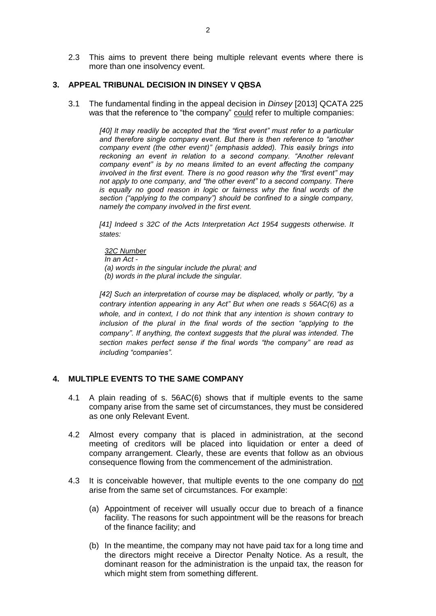2.3 This aims to prevent there being multiple relevant events where there is more than one insolvency event.

### **3. APPEAL TRIBUNAL DECISION IN DINSEY V QBSA**

3.1 The fundamental finding in the appeal decision in *Dinsey* [2013] QCATA 225 was that the reference to "the company" could refer to multiple companies:

> [40] It may readily be accepted that the "first event" must refer to a particular *and therefore single company event. But there is then reference to "another company event (the other event)" (emphasis added). This easily brings into reckoning an event in relation to a second company. "Another relevant company event" is by no means limited to an event affecting the company involved in the first event. There is no good reason why the "first event" may not apply to one company, and "the other event" to a second company. There is equally no good reason in logic or fairness why the final words of the section ("applying to the company") should be confined to a single company, namely the company involved in the first event.*

> *[41] Indeed [s 32C](http://www.austlii.edu.au/au/legis/qld/consol_act/aia1954230/s32c.html) of the [Acts Interpretation Act 1954](http://www.austlii.edu.au/au/legis/qld/consol_act/aia1954230/) suggests otherwise. It states:*

*32C Number*

*In an Act -*

*(a) words in the singular include the plural; and*

*(b) words in the plural include the singular.*

*[42] Such an interpretation of course may be displaced, wholly or partly, "by a contrary intention appearing in any Act" But when one reads s 56AC(6) as a whole, and in context, I do not think that any intention is shown contrary to*  inclusion of the plural in the final words of the section "applying to the *company". If anything, the context suggests that the plural was intended. The section makes perfect sense if the final words "the company" are read as including "companies".*

# **4. MULTIPLE EVENTS TO THE SAME COMPANY**

- 4.1 A plain reading of s. 56AC(6) shows that if multiple events to the same company arise from the same set of circumstances, they must be considered as one only Relevant Event.
- 4.2 Almost every company that is placed in administration, at the second meeting of creditors will be placed into liquidation or enter a deed of company arrangement. Clearly, these are events that follow as an obvious consequence flowing from the commencement of the administration.
- 4.3 It is conceivable however, that multiple events to the one company do not arise from the same set of circumstances. For example:
	- (a) Appointment of receiver will usually occur due to breach of a finance facility. The reasons for such appointment will be the reasons for breach of the finance facility; and
	- (b) In the meantime, the company may not have paid tax for a long time and the directors might receive a Director Penalty Notice. As a result, the dominant reason for the administration is the unpaid tax, the reason for which might stem from something different.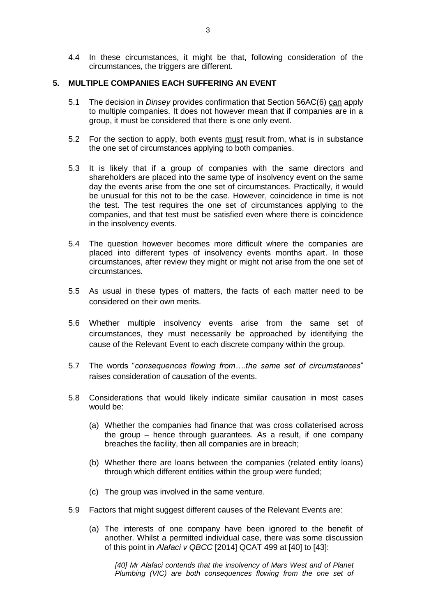4.4 In these circumstances, it might be that, following consideration of the circumstances, the triggers are different.

### **5. MULTIPLE COMPANIES EACH SUFFERING AN EVENT**

- 5.1 The decision in *Dinsey* provides confirmation that Section 56AC(6) can apply to multiple companies. It does not however mean that if companies are in a group, it must be considered that there is one only event.
- 5.2 For the section to apply, both events must result from, what is in substance the one set of circumstances applying to both companies.
- 5.3 It is likely that if a group of companies with the same directors and shareholders are placed into the same type of insolvency event on the same day the events arise from the one set of circumstances. Practically, it would be unusual for this not to be the case. However, coincidence in time is not the test. The test requires the one set of circumstances applying to the companies, and that test must be satisfied even where there is coincidence in the insolvency events.
- 5.4 The question however becomes more difficult where the companies are placed into different types of insolvency events months apart. In those circumstances, after review they might or might not arise from the one set of circumstances.
- 5.5 As usual in these types of matters, the facts of each matter need to be considered on their own merits.
- 5.6 Whether multiple insolvency events arise from the same set of circumstances, they must necessarily be approached by identifying the cause of the Relevant Event to each discrete company within the group.
- 5.7 The words "*consequences flowing from….the same set of circumstances*" raises consideration of causation of the events.
- 5.8 Considerations that would likely indicate similar causation in most cases would be:
	- (a) Whether the companies had finance that was cross collaterised across the group – hence through guarantees. As a result, if one company breaches the facility, then all companies are in breach;
	- (b) Whether there are loans between the companies (related entity loans) through which different entities within the group were funded;
	- (c) The group was involved in the same venture.
- 5.9 Factors that might suggest different causes of the Relevant Events are:
	- (a) The interests of one company have been ignored to the benefit of another. Whilst a permitted individual case, there was some discussion of this point in *Alafaci v QBCC* [2014] QCAT 499 at [40] to [43]:

*[40] Mr Alafaci contends that the insolvency of Mars West and of Planet Plumbing (VIC) are both consequences flowing from the one set of*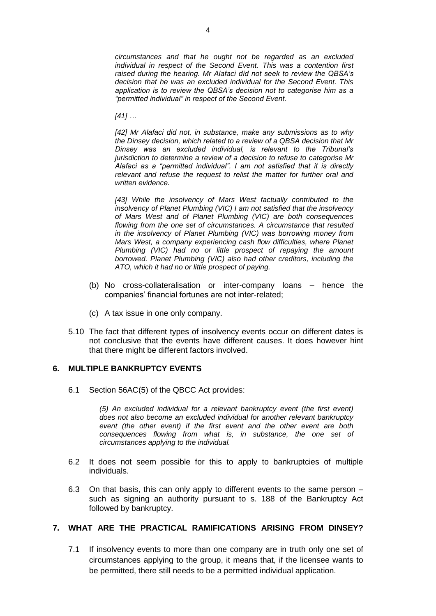*circumstances and that he ought not be regarded as an excluded individual in respect of the Second Event. This was a contention first raised during the hearing. Mr Alafaci did not seek to review the QBSA's decision that he was an excluded individual for the Second Event. This application is to review the QBSA's decision not to categorise him as a "permitted individual" in respect of the Second Event.*

*[41] …*

*[42] Mr Alafaci did not, in substance, make any submissions as to why the Dinsey decision, which related to a review of a QBSA decision that Mr Dinsey was an excluded individual, is relevant to the Tribunal's jurisdiction to determine a review of a decision to refuse to categorise Mr Alafaci as a "permitted individual". I am not satisfied that it is directly relevant and refuse the request to relist the matter for further oral and written evidence.*

[43] While the insolvency of Mars West factually contributed to the *insolvency of Planet Plumbing (VIC) I am not satisfied that the insolvency of Mars West and of Planet Plumbing (VIC) are both consequences flowing from the one set of circumstances. A circumstance that resulted in the insolvency of Planet Plumbing (VIC) was borrowing money from Mars West, a company experiencing cash flow difficulties, where Planet Plumbing (VIC) had no or little prospect of repaying the amount borrowed. Planet Plumbing (VIC) also had other creditors, including the ATO, which it had no or little prospect of paying.*

- (b) No cross-collateralisation or inter-company loans hence the companies' financial fortunes are not inter-related;
- (c) A tax issue in one only company.
- 5.10 The fact that different types of insolvency events occur on different dates is not conclusive that the events have different causes. It does however hint that there might be different factors involved.

#### **6. MULTIPLE BANKRUPTCY EVENTS**

6.1 Section 56AC(5) of the QBCC Act provides:

*(5) An excluded individual for a relevant bankruptcy event (the first event) does not also become an excluded individual for another relevant bankruptcy event (the other event) if the first event and the other event are both consequences flowing from what is, in substance, the one set of circumstances applying to the individual.* 

- 6.2 It does not seem possible for this to apply to bankruptcies of multiple individuals.
- 6.3 On that basis, this can only apply to different events to the same person such as signing an authority pursuant to s. 188 of the Bankruptcy Act followed by bankruptcy.

# **7. WHAT ARE THE PRACTICAL RAMIFICATIONS ARISING FROM DINSEY?**

7.1 If insolvency events to more than one company are in truth only one set of circumstances applying to the group, it means that, if the licensee wants to be permitted, there still needs to be a permitted individual application.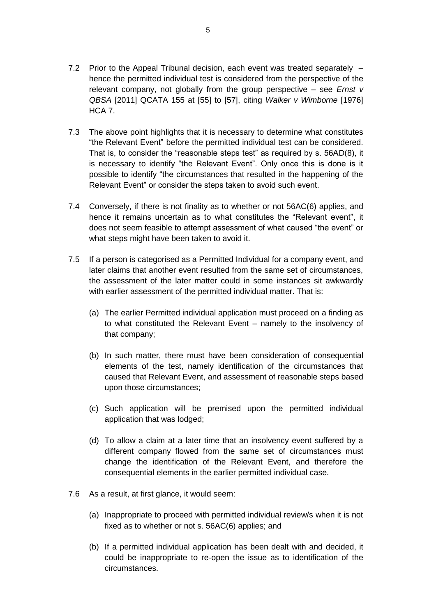- 7.2 Prior to the Appeal Tribunal decision, each event was treated separately hence the permitted individual test is considered from the perspective of the relevant company, not globally from the group perspective – see *Ernst v QBSA* [2011] QCATA 155 at [55] to [57], citing *Walker v Wimborne* [1976] HCA 7.
- 7.3 The above point highlights that it is necessary to determine what constitutes "the Relevant Event" before the permitted individual test can be considered. That is, to consider the "reasonable steps test" as required by s. 56AD(8), it is necessary to identify "the Relevant Event". Only once this is done is it possible to identify "the circumstances that resulted in the happening of the Relevant Event" or consider the steps taken to avoid such event.
- 7.4 Conversely, if there is not finality as to whether or not 56AC(6) applies, and hence it remains uncertain as to what constitutes the "Relevant event", it does not seem feasible to attempt assessment of what caused "the event" or what steps might have been taken to avoid it.
- 7.5 If a person is categorised as a Permitted Individual for a company event, and later claims that another event resulted from the same set of circumstances, the assessment of the later matter could in some instances sit awkwardly with earlier assessment of the permitted individual matter. That is:
	- (a) The earlier Permitted individual application must proceed on a finding as to what constituted the Relevant Event – namely to the insolvency of that company;
	- (b) In such matter, there must have been consideration of consequential elements of the test, namely identification of the circumstances that caused that Relevant Event, and assessment of reasonable steps based upon those circumstances;
	- (c) Such application will be premised upon the permitted individual application that was lodged;
	- (d) To allow a claim at a later time that an insolvency event suffered by a different company flowed from the same set of circumstances must change the identification of the Relevant Event, and therefore the consequential elements in the earlier permitted individual case.
- 7.6 As a result, at first glance, it would seem:
	- (a) Inappropriate to proceed with permitted individual review/s when it is not fixed as to whether or not s. 56AC(6) applies; and
	- (b) If a permitted individual application has been dealt with and decided, it could be inappropriate to re-open the issue as to identification of the circumstances.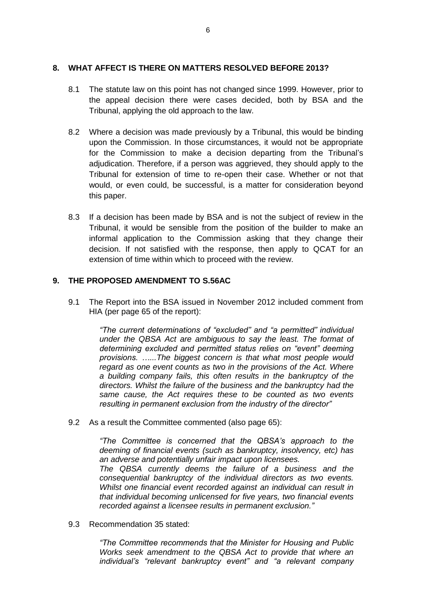### **8. WHAT AFFECT IS THERE ON MATTERS RESOLVED BEFORE 2013?**

- 8.1 The statute law on this point has not changed since 1999. However, prior to the appeal decision there were cases decided, both by BSA and the Tribunal, applying the old approach to the law.
- 8.2 Where a decision was made previously by a Tribunal, this would be binding upon the Commission. In those circumstances, it would not be appropriate for the Commission to make a decision departing from the Tribunal's adjudication. Therefore, if a person was aggrieved, they should apply to the Tribunal for extension of time to re-open their case. Whether or not that would, or even could, be successful, is a matter for consideration beyond this paper.
- 8.3 If a decision has been made by BSA and is not the subject of review in the Tribunal, it would be sensible from the position of the builder to make an informal application to the Commission asking that they change their decision. If not satisfied with the response, then apply to QCAT for an extension of time within which to proceed with the review.

### **9. THE PROPOSED AMENDMENT TO S.56AC**

9.1 The Report into the BSA issued in November 2012 included comment from HIA (per page 65 of the report):

> *"The current determinations of "excluded" and "a permitted" individual under the QBSA Act are ambiguous to say the least. The format of determining excluded and permitted status relies on "event" deeming provisions. …...The biggest concern is that what most people would regard as one event counts as two in the provisions of the Act. Where a building company fails, this often results in the bankruptcy of the directors. Whilst the failure of the business and the bankruptcy had the same cause, the Act requires these to be counted as two events resulting in permanent exclusion from the industry of the director"*

9.2 As a result the Committee commented (also page 65):

*"The Committee is concerned that the QBSA's approach to the deeming of financial events (such as bankruptcy, insolvency, etc) has an adverse and potentially unfair impact upon licensees.*

*The QBSA currently deems the failure of a business and the consequential bankruptcy of the individual directors as two events. Whilst one financial event recorded against an individual can result in that individual becoming unlicensed for five years, two financial events recorded against a licensee results in permanent exclusion."*

9.3 Recommendation 35 stated:

*"The Committee recommends that the Minister for Housing and Public Works seek amendment to the QBSA Act to provide that where an individual's "relevant bankruptcy event" and "a relevant company*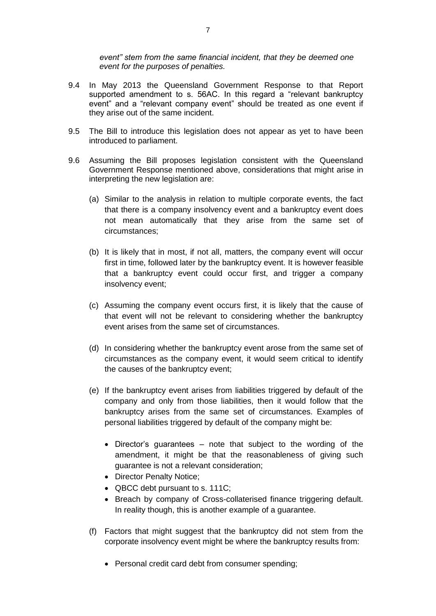*event" stem from the same financial incident, that they be deemed one event for the purposes of penalties.*

- 9.4 In May 2013 the Queensland Government Response to that Report supported amendment to s. 56AC. In this regard a "relevant bankruptcy event" and a "relevant company event" should be treated as one event if they arise out of the same incident.
- 9.5 The Bill to introduce this legislation does not appear as yet to have been introduced to parliament.
- 9.6 Assuming the Bill proposes legislation consistent with the Queensland Government Response mentioned above, considerations that might arise in interpreting the new legislation are:
	- (a) Similar to the analysis in relation to multiple corporate events, the fact that there is a company insolvency event and a bankruptcy event does not mean automatically that they arise from the same set of circumstances;
	- (b) It is likely that in most, if not all, matters, the company event will occur first in time, followed later by the bankruptcy event. It is however feasible that a bankruptcy event could occur first, and trigger a company insolvency event;
	- (c) Assuming the company event occurs first, it is likely that the cause of that event will not be relevant to considering whether the bankruptcy event arises from the same set of circumstances.
	- (d) In considering whether the bankruptcy event arose from the same set of circumstances as the company event, it would seem critical to identify the causes of the bankruptcy event;
	- (e) If the bankruptcy event arises from liabilities triggered by default of the company and only from those liabilities, then it would follow that the bankruptcy arises from the same set of circumstances. Examples of personal liabilities triggered by default of the company might be:
		- Director's guarantees note that subject to the wording of the amendment, it might be that the reasonableness of giving such guarantee is not a relevant consideration;
		- Director Penalty Notice:
		- QBCC debt pursuant to s. 111C;
		- Breach by company of Cross-collaterised finance triggering default. In reality though, this is another example of a guarantee.
	- (f) Factors that might suggest that the bankruptcy did not stem from the corporate insolvency event might be where the bankruptcy results from:
		- Personal credit card debt from consumer spending;